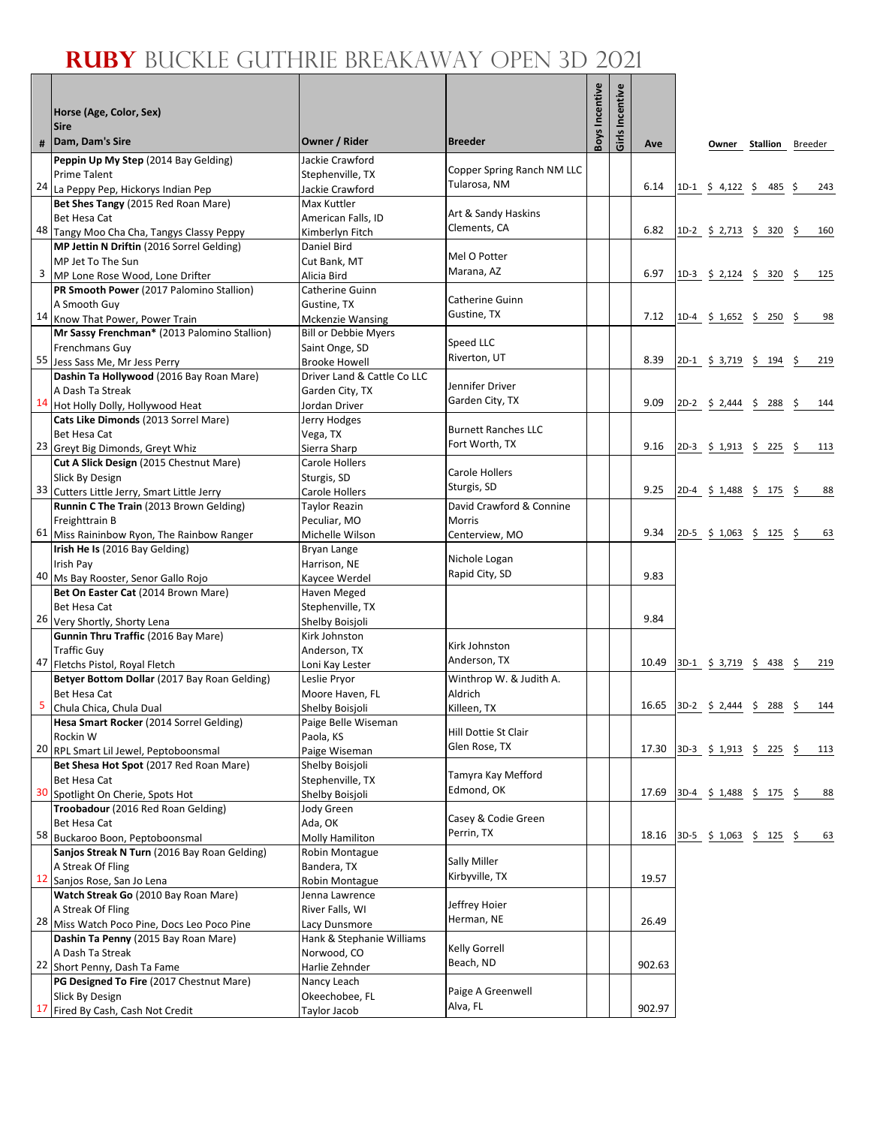## **RUBY** BUCKLE GUTHRIE BREAKAWAY OPEN 3D 2021

٦

|                         | Horse (Age, Color, Sex)<br><b>Sire</b>                                      |                                            |                                    | <b>Boys Incentive</b> | Girls Incentive |        |                                            |          |             |
|-------------------------|-----------------------------------------------------------------------------|--------------------------------------------|------------------------------------|-----------------------|-----------------|--------|--------------------------------------------|----------|-------------|
| #                       | Dam, Dam's Sire                                                             | Owner / Rider                              | <b>Breeder</b>                     |                       |                 | Ave    | Owner                                      | Stallion | Breeder     |
|                         | Peppin Up My Step (2014 Bay Gelding)                                        | Jackie Crawford                            | Copper Spring Ranch NM LLC         |                       |                 |        |                                            |          |             |
|                         | <b>Prime Talent</b><br>24 La Peppy Pep, Hickorys Indian Pep                 | Stephenville, TX<br>Jackie Crawford        | Tularosa, NM                       |                       |                 | 6.14   | 1D-1 $\frac{1}{2}$ 4,122 $\frac{1}{2}$ 485 |          | - \$<br>243 |
|                         | Bet Shes Tangy (2015 Red Roan Mare)                                         | Max Kuttler                                |                                    |                       |                 |        |                                            |          |             |
|                         | <b>Bet Hesa Cat</b>                                                         | American Falls, ID                         | Art & Sandy Haskins                |                       |                 |        |                                            |          |             |
|                         | 48 Tangy Moo Cha Cha, Tangys Classy Peppy                                   | Kimberlyn Fitch                            | Clements, CA                       |                       |                 | 6.82   | $1D-2 \t$ 2,713 \t$ 320 \t$$               |          | 160         |
|                         | MP Jettin N Driftin (2016 Sorrel Gelding)                                   | Daniel Bird                                | Mel O Potter                       |                       |                 |        |                                            |          |             |
|                         | MP Jet To The Sun                                                           | Cut Bank, MT                               | Marana, AZ                         |                       |                 | 6.97   |                                            |          |             |
| $\overline{\mathbf{3}}$ | MP Lone Rose Wood, Lone Drifter<br>PR Smooth Power (2017 Palomino Stallion) | Alicia Bird<br>Catherine Guinn             |                                    |                       |                 |        | $1D-3 \t5 2,124 \t5 320 \t5$               |          | 125         |
|                         | A Smooth Guy                                                                | Gustine, TX                                | Catherine Guinn                    |                       |                 |        |                                            |          |             |
|                         | 14 Know That Power, Power Train                                             | <b>Mckenzie Wansing</b>                    | Gustine, TX                        |                       |                 | 7.12   | $1D-4$ \$ 1,652 \$ 250 \$                  |          | 98          |
|                         | Mr Sassy Frenchman* (2013 Palomino Stallion)                                | <b>Bill or Debbie Myers</b>                |                                    |                       |                 |        |                                            |          |             |
|                         | <b>Frenchmans Guy</b>                                                       | Saint Onge, SD                             | Speed LLC                          |                       |                 |        |                                            |          |             |
|                         | 55 Jess Sass Me, Mr Jess Perry                                              | <b>Brooke Howell</b>                       | Riverton, UT                       |                       |                 | 8.39   | $2D-1$ \$ 3,719 \$ 194 \$                  |          | 219         |
|                         | Dashin Ta Hollywood (2016 Bay Roan Mare)                                    | Driver Land & Cattle Co LLC                | Jennifer Driver                    |                       |                 |        |                                            |          |             |
|                         | A Dash Ta Streak<br>14 Hot Holly Dolly, Hollywood Heat                      | Garden City, TX<br>Jordan Driver           | Garden City, TX                    |                       |                 | 9.09   | $2D-2$ \$ 2,444 \$ 288 \$                  |          | 144         |
|                         | Cats Like Dimonds (2013 Sorrel Mare)                                        | Jerry Hodges                               |                                    |                       |                 |        |                                            |          |             |
|                         | <b>Bet Hesa Cat</b>                                                         | Vega, TX                                   | <b>Burnett Ranches LLC</b>         |                       |                 |        |                                            |          |             |
|                         | 23 Greyt Big Dimonds, Greyt Whiz                                            | Sierra Sharp                               | Fort Worth, TX                     |                       |                 | 9.16   | $2D-3 \t5 1,913 \t5 225 \t5$               |          | 113         |
|                         | Cut A Slick Design (2015 Chestnut Mare)                                     | Carole Hollers                             |                                    |                       |                 |        |                                            |          |             |
|                         | <b>Slick By Design</b>                                                      | Sturgis, SD                                | Carole Hollers<br>Sturgis, SD      |                       |                 |        |                                            |          |             |
|                         | 33 Cutters Little Jerry, Smart Little Jerry                                 | Carole Hollers                             |                                    |                       |                 | 9.25   | $2D-4$ \$ 1,488 \$ 175 \$                  |          | 88          |
|                         | Runnin C The Train (2013 Brown Gelding)<br>Freighttrain B                   | <b>Taylor Reazin</b><br>Peculiar, MO       | David Crawford & Connine<br>Morris |                       |                 |        |                                            |          |             |
|                         | 61 Miss Raininbow Ryon, The Rainbow Ranger                                  | Michelle Wilson                            | Centerview, MO                     |                       |                 | 9.34   | $2D-5$ \$ 1,063 \$ 125 \$                  |          | 63          |
|                         | Irish He Is (2016 Bay Gelding)                                              | Bryan Lange                                |                                    |                       |                 |        |                                            |          |             |
|                         | Irish Pay                                                                   | Harrison, NE                               | Nichole Logan                      |                       |                 |        |                                            |          |             |
|                         | 40 Ms Bay Rooster, Senor Gallo Rojo                                         | Kaycee Werdel                              | Rapid City, SD                     |                       |                 | 9.83   |                                            |          |             |
|                         | Bet On Easter Cat (2014 Brown Mare)                                         | Haven Meged                                |                                    |                       |                 |        |                                            |          |             |
|                         | <b>Bet Hesa Cat</b><br>26 Very Shortly, Shorty Lena                         | Stephenville, TX<br>Shelby Boisjoli        |                                    |                       |                 | 9.84   |                                            |          |             |
|                         | Gunnin Thru Traffic (2016 Bay Mare)                                         | Kirk Johnston                              |                                    |                       |                 |        |                                            |          |             |
|                         | <b>Traffic Guy</b>                                                          | Anderson. TX                               | Kirk Johnston                      |                       |                 |        |                                            |          |             |
|                         | 47 Fletchs Pistol, Royal Fletch                                             | Loni Kay Lester                            | Anderson, TX                       |                       |                 | 10.49  | $3D-1$ \$ 3,719 \$ 438                     |          | - \$<br>219 |
|                         | Betyer Bottom Dollar (2017 Bay Roan Gelding)                                | Leslie Pryor                               | Winthrop W. & Judith A.            |                       |                 |        |                                            |          |             |
| 5                       | <b>Bet Hesa Cat</b>                                                         | Moore Haven, FL                            | Aldrich                            |                       |                 | 16.65  |                                            |          |             |
|                         | Chula Chica, Chula Dual<br>Hesa Smart Rocker (2014 Sorrel Gelding)          | Shelby Boisjoli<br>Paige Belle Wiseman     | Killeen, TX                        |                       |                 |        | $3D-2$ \$ 2,444                            | \$288    | -Ş<br>144   |
|                         | Rockin W                                                                    | Paola, KS                                  | Hill Dottie St Clair               |                       |                 |        |                                            |          |             |
|                         | 20 RPL Smart Lil Jewel, Peptoboonsmal                                       | Paige Wiseman                              | Glen Rose, TX                      |                       |                 | 17.30  | 3D-3 \$ 1,913 \$ 225 \$                    |          | 113         |
|                         | Bet Shesa Hot Spot (2017 Red Roan Mare)                                     | Shelby Boisjoli                            |                                    |                       |                 |        |                                            |          |             |
|                         | <b>Bet Hesa Cat</b>                                                         | Stephenville, TX                           | Tamyra Kay Mefford<br>Edmond, OK   |                       |                 |        |                                            |          |             |
|                         | 30 Spotlight On Cherie, Spots Hot                                           | Shelby Boisjoli                            |                                    |                       |                 | 17.69  | $3D-4$ \$ 1,488 \$ 175 \$                  |          | 88          |
|                         | Troobadour (2016 Red Roan Gelding)                                          | Jody Green                                 | Casey & Codie Green                |                       |                 |        |                                            |          |             |
|                         | Bet Hesa Cat<br>58 Buckaroo Boon, Peptoboonsmal                             | Ada, OK<br>Molly Hamiliton                 | Perrin, TX                         |                       |                 | 18.16  | 3D-5 \$ 1,063 \$ 125 \$                    |          | 63          |
|                         | Sanjos Streak N Turn (2016 Bay Roan Gelding)                                | Robin Montague                             |                                    |                       |                 |        |                                            |          |             |
|                         | A Streak Of Fling                                                           | Bandera, TX                                | Sally Miller                       |                       |                 |        |                                            |          |             |
|                         | 12 Sanjos Rose, San Jo Lena                                                 | Robin Montague                             | Kirbyville, TX                     |                       |                 | 19.57  |                                            |          |             |
|                         | Watch Streak Go (2010 Bay Roan Mare)                                        | Jenna Lawrence                             | Jeffrey Hoier                      |                       |                 |        |                                            |          |             |
|                         | A Streak Of Fling                                                           | River Falls, WI                            | Herman, NE                         |                       |                 | 26.49  |                                            |          |             |
|                         | 28 Miss Watch Poco Pine, Docs Leo Poco Pine                                 | Lacy Dunsmore<br>Hank & Stephanie Williams |                                    |                       |                 |        |                                            |          |             |
|                         | Dashin Ta Penny (2015 Bay Roan Mare)<br>A Dash Ta Streak                    | Norwood, CO                                | Kelly Gorrell                      |                       |                 |        |                                            |          |             |
|                         | 22 Short Penny, Dash Ta Fame                                                | Harlie Zehnder                             | Beach, ND                          |                       |                 | 902.63 |                                            |          |             |
|                         | PG Designed To Fire (2017 Chestnut Mare)                                    | Nancy Leach                                |                                    |                       |                 |        |                                            |          |             |
|                         | Slick By Design                                                             | Okeechobee, FL                             | Paige A Greenwell                  |                       |                 |        |                                            |          |             |
| 17                      | Fired By Cash, Cash Not Credit                                              | <b>Taylor Jacob</b>                        | Alva, FL                           |                       |                 | 902.97 |                                            |          |             |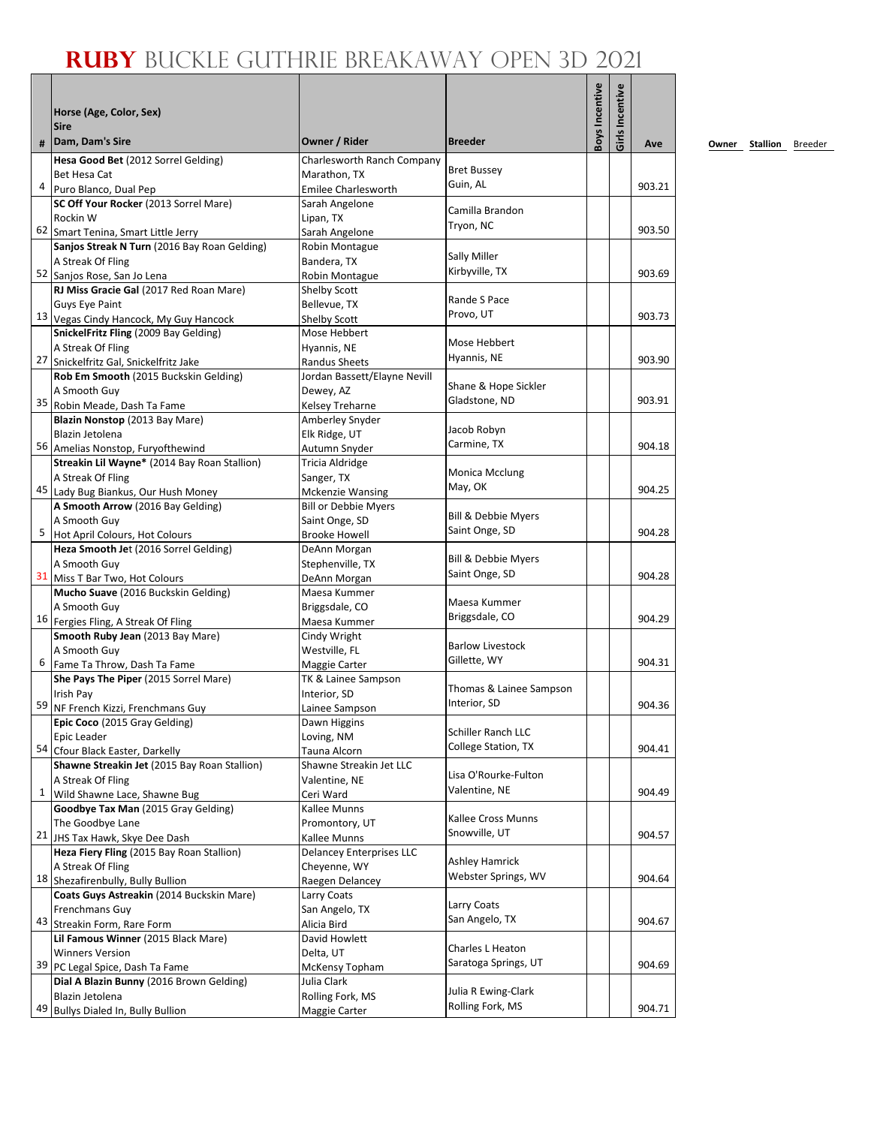## **Ruby** Buckle Guthrie Breakaway Open 3D 2021

|    | Horse (Age, Color, Sex)<br><b>Sire</b>                   |                                 |                                         | Boys Incentive | Girls Incentive |        |
|----|----------------------------------------------------------|---------------------------------|-----------------------------------------|----------------|-----------------|--------|
| #  | Dam, Dam's Sire                                          | Owner / Rider                   | <b>Breeder</b>                          |                |                 | Ave    |
|    | Hesa Good Bet (2012 Sorrel Gelding)                      | Charlesworth Ranch Company      |                                         |                |                 |        |
|    | Bet Hesa Cat                                             | Marathon, TX                    | <b>Bret Bussey</b>                      |                |                 |        |
| 4  | Puro Blanco, Dual Pep                                    | Emilee Charlesworth             | Guin, AL                                |                |                 | 903.21 |
|    | SC Off Your Rocker (2013 Sorrel Mare)                    | Sarah Angelone                  | Camilla Brandon                         |                |                 |        |
|    | Rockin W                                                 | Lipan, TX                       | Tryon, NC                               |                |                 |        |
|    | 62 Smart Tenina, Smart Little Jerry                      | Sarah Angelone                  |                                         |                |                 | 903.50 |
|    | Sanjos Streak N Turn (2016 Bay Roan Gelding)             | Robin Montague                  |                                         |                |                 |        |
|    | A Streak Of Fling                                        | Bandera, TX                     | Sally Miller                            |                |                 |        |
|    | 52 Sanjos Rose, San Jo Lena                              | Robin Montague                  | Kirbyville, TX                          |                |                 | 903.69 |
|    | RJ Miss Gracie Gal (2017 Red Roan Mare)                  | Shelby Scott                    | Rande S Pace                            |                |                 |        |
|    | Guys Eye Paint                                           | Bellevue, TX                    | Provo, UT                               |                |                 |        |
|    | 13 Vegas Cindy Hancock, My Guy Hancock                   | Shelby Scott                    |                                         |                |                 | 903.73 |
|    | SnickelFritz Fling (2009 Bay Gelding)                    | Mose Hebbert                    | Mose Hebbert                            |                |                 |        |
|    | A Streak Of Fling                                        | Hyannis, NE                     | Hyannis, NE                             |                |                 |        |
|    | 27 Snickelfritz Gal, Snickelfritz Jake                   | <b>Randus Sheets</b>            |                                         |                |                 | 903.90 |
|    | Rob Em Smooth (2015 Buckskin Gelding)                    | Jordan Bassett/Elayne Nevill    | Shane & Hope Sickler                    |                |                 |        |
|    | A Smooth Guy                                             | Dewey, AZ                       | Gladstone, ND                           |                |                 | 903.91 |
|    | 35 Robin Meade, Dash Ta Fame                             | Kelsey Treharne                 |                                         |                |                 |        |
|    | Blazin Nonstop (2013 Bay Mare)                           | Amberley Snyder                 | Jacob Robyn                             |                |                 |        |
|    | Blazin Jetolena                                          | Elk Ridge, UT                   | Carmine, TX                             |                |                 | 904.18 |
|    | 56 Amelias Nonstop, Furyofthewind                        | Autumn Snyder                   |                                         |                |                 |        |
|    | Streakin Lil Wayne* (2014 Bay Roan Stallion)             | Tricia Aldridge                 | <b>Monica Mcclung</b>                   |                |                 |        |
|    | A Streak Of Fling<br>45 Lady Bug Biankus, Our Hush Money | Sanger, TX<br>Mckenzie Wansing  | May, OK                                 |                |                 | 904.25 |
|    | A Smooth Arrow (2016 Bay Gelding)                        | <b>Bill or Debbie Myers</b>     |                                         |                |                 |        |
|    | A Smooth Guy                                             | Saint Onge, SD                  | Bill & Debbie Myers                     |                |                 |        |
| 5  | Hot April Colours, Hot Colours                           | <b>Brooke Howell</b>            | Saint Onge, SD                          |                |                 | 904.28 |
|    | Heza Smooth Jet (2016 Sorrel Gelding)                    | DeAnn Morgan                    |                                         |                |                 |        |
|    | A Smooth Guy                                             | Stephenville, TX                | <b>Bill &amp; Debbie Myers</b>          |                |                 |        |
|    | 31 Miss T Bar Two, Hot Colours                           | DeAnn Morgan                    | Saint Onge, SD                          |                |                 | 904.28 |
|    | Mucho Suave (2016 Buckskin Gelding)                      | Maesa Kummer                    |                                         |                |                 |        |
|    | A Smooth Guy                                             | Briggsdale, CO                  | Maesa Kummer                            |                |                 |        |
|    | 16 Fergies Fling, A Streak Of Fling                      | Maesa Kummer                    | Briggsdale, CO                          |                |                 | 904.29 |
|    | Smooth Ruby Jean (2013 Bay Mare)                         | Cindy Wright                    |                                         |                |                 |        |
|    | A Smooth Guy                                             | Westville, FL                   | <b>Barlow Livestock</b>                 |                |                 |        |
| 6  | Fame Ta Throw, Dash Ta Fame                              | Maggie Carter                   | Gillette, WY                            |                |                 | 904.31 |
|    | She Pays The Piper (2015 Sorrel Mare)                    | TK & Lainee Sampson             |                                         |                |                 |        |
|    | Irish Pay                                                | Interior, SD                    | Thomas & Lainee Sampson                 |                |                 |        |
|    | 59 NF French Kizzi, Frenchmans Guy                       | Lainee Sampson                  | Interior, SD                            |                |                 | 904.36 |
|    | Epic Coco (2015 Gray Gelding)                            | Dawn Higgins                    |                                         |                |                 |        |
|    | Epic Leader                                              | Loving, NM                      | Schiller Ranch LLC                      |                |                 |        |
|    | 54 Cfour Black Easter, Darkelly                          | Tauna Alcorn                    | <b>College Station, TX</b>              |                |                 | 904.41 |
|    | Shawne Streakin Jet (2015 Bay Roan Stallion)             | Shawne Streakin Jet LLC         |                                         |                |                 |        |
|    | A Streak Of Fling                                        | Valentine, NE                   | Lisa O'Rourke-Fulton                    |                |                 |        |
| 1  | Wild Shawne Lace, Shawne Bug                             | Ceri Ward                       | Valentine, NE                           |                |                 | 904.49 |
|    | Goodbye Tax Man (2015 Gray Gelding)                      | Kallee Munns                    |                                         |                |                 |        |
|    | The Goodbye Lane                                         | Promontory, UT                  | Kallee Cross Munns                      |                |                 |        |
|    | 21 JHS Tax Hawk, Skye Dee Dash                           | Kallee Munns                    | Snowville, UT                           |                |                 | 904.57 |
|    | Heza Fiery Fling (2015 Bay Roan Stallion)                | <b>Delancey Enterprises LLC</b> |                                         |                |                 |        |
|    | A Streak Of Fling                                        | Chevenne, WY                    | <b>Ashley Hamrick</b>                   |                |                 |        |
|    | 18 Shezafirenbully, Bully Bullion                        | Raegen Delancey                 | Webster Springs, WV                     |                |                 | 904.64 |
|    | Coats Guys Astreakin (2014 Buckskin Mare)                | Larry Coats                     |                                         |                |                 |        |
|    | Frenchmans Guy                                           | San Angelo, TX                  | Larry Coats                             |                |                 |        |
|    | 43 Streakin Form, Rare Form                              | Alicia Bird                     | San Angelo, TX                          |                |                 | 904.67 |
|    | Lil Famous Winner (2015 Black Mare)                      | David Howlett                   |                                         |                |                 |        |
|    | <b>Winners Version</b>                                   | Delta, UT                       | Charles L Heaton                        |                |                 |        |
|    | 39 PC Legal Spice, Dash Ta Fame                          | McKensy Topham                  | Saratoga Springs, UT                    |                |                 | 904.69 |
|    | Dial A Blazin Bunny (2016 Brown Gelding)                 | Julia Clark                     |                                         |                |                 |        |
|    | Blazin Jetolena                                          | Rolling Fork, MS                | Julia R Ewing-Clark<br>Rolling Fork, MS |                |                 |        |
| 49 | Bullys Dialed In, Bully Bullion                          | Maggie Carter                   |                                         |                |                 | 904.71 |

**<u>Owner</u> Stallion Breeder**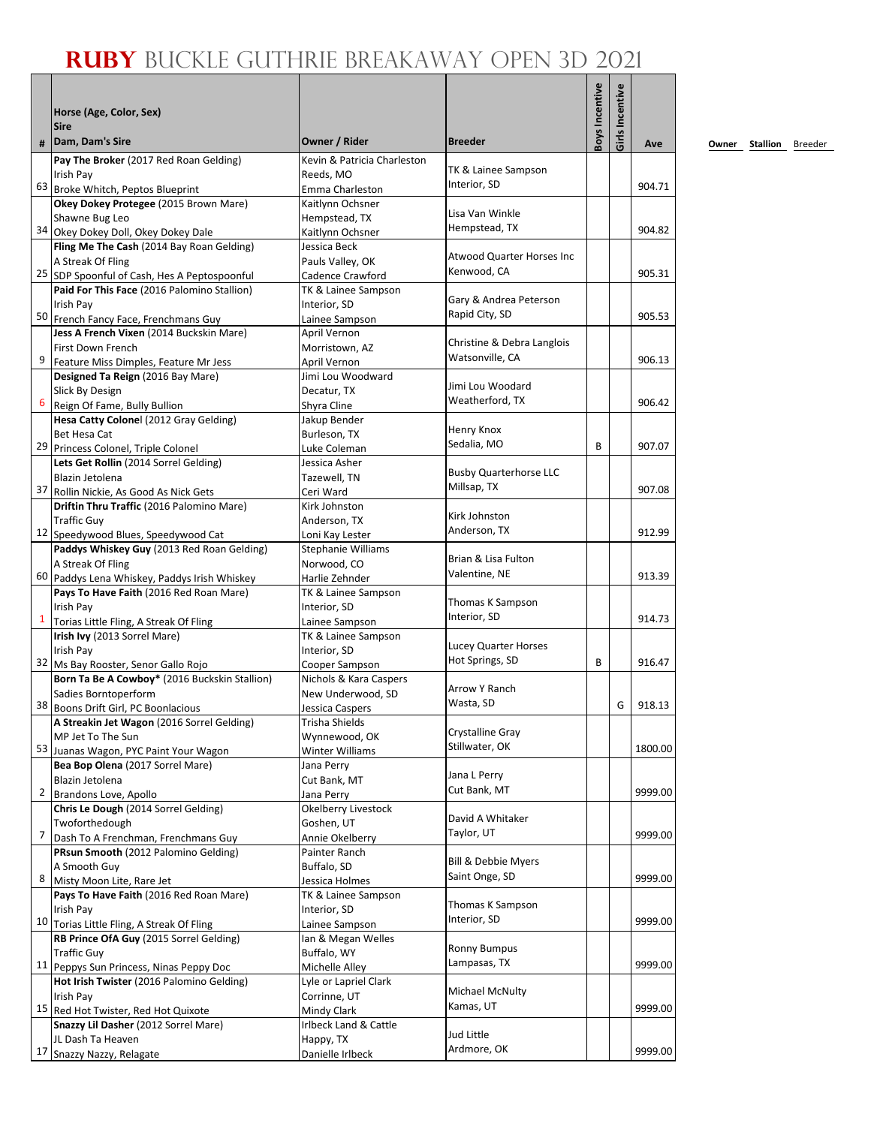## **Ruby** Buckle Guthrie Breakaway Open 3D 2021

|                | Horse (Age, Color, Sex)                                                              |                                          |                                         | Boys Incentive | Girls Incentive |         |
|----------------|--------------------------------------------------------------------------------------|------------------------------------------|-----------------------------------------|----------------|-----------------|---------|
|                | <b>Sire</b>                                                                          |                                          |                                         |                |                 |         |
| #              | Dam, Dam's Sire                                                                      | Owner / Rider                            | <b>Breeder</b>                          |                |                 | Ave     |
|                | Pay The Broker (2017 Red Roan Gelding)                                               | Kevin & Patricia Charleston              | TK & Lainee Sampson                     |                |                 |         |
|                | Irish Pay<br>63 Broke Whitch, Peptos Blueprint                                       | Reeds, MO                                | Interior, SD                            |                |                 | 904.71  |
|                | Okey Dokey Protegee (2015 Brown Mare)                                                | Emma Charleston<br>Kaitlynn Ochsner      |                                         |                |                 |         |
|                | Shawne Bug Leo                                                                       | Hempstead, TX                            | Lisa Van Winkle                         |                |                 |         |
| 34             | Okey Dokey Doll, Okey Dokey Dale                                                     | Kaitlynn Ochsner                         | Hempstead, TX                           |                |                 | 904.82  |
|                | Fling Me The Cash (2014 Bay Roan Gelding)                                            | Jessica Beck                             | <b>Atwood Quarter Horses Inc</b>        |                |                 |         |
|                | A Streak Of Fling<br>25 SDP Spoonful of Cash, Hes A Peptospoonful                    | Pauls Valley, OK<br>Cadence Crawford     | Kenwood, CA                             |                |                 | 905.31  |
|                | Paid For This Face (2016 Palomino Stallion)                                          | TK & Lainee Sampson                      |                                         |                |                 |         |
|                | Irish Pay                                                                            | Interior, SD                             | Gary & Andrea Peterson                  |                |                 |         |
|                | 50 French Fancy Face, Frenchmans Guy                                                 | Lainee Sampson                           | Rapid City, SD                          |                |                 | 905.53  |
|                | Jess A French Vixen (2014 Buckskin Mare)                                             | April Vernon                             | Christine & Debra Langlois              |                |                 |         |
| 9              | First Down French                                                                    | Morristown, AZ                           | Watsonville, CA                         |                |                 | 906.13  |
|                | Feature Miss Dimples, Feature Mr Jess<br>Designed Ta Reign (2016 Bay Mare)           | April Vernon<br>Jimi Lou Woodward        |                                         |                |                 |         |
|                | Slick By Design                                                                      | Decatur. TX                              | Jimi Lou Woodard                        |                |                 |         |
| 6              | Reign Of Fame, Bully Bullion                                                         | Shyra Cline                              | Weatherford, TX                         |                |                 | 906.42  |
|                | Hesa Catty Colonel (2012 Gray Gelding)                                               | Jakup Bender                             |                                         |                |                 |         |
|                | Bet Hesa Cat                                                                         | Burleson, TX                             | Henry Knox<br>Sedalia, MO               |                |                 |         |
|                | 29 Princess Colonel, Triple Colonel                                                  | Luke Coleman                             |                                         | B              |                 | 907.07  |
|                | Lets Get Rollin (2014 Sorrel Gelding)<br>Blazin Jetolena                             | Jessica Asher<br>Tazewell, TN            | <b>Busby Quarterhorse LLC</b>           |                |                 |         |
| 37             | Rollin Nickie, As Good As Nick Gets                                                  | Ceri Ward                                | Millsap, TX                             |                |                 | 907.08  |
|                | Driftin Thru Traffic (2016 Palomino Mare)                                            | Kirk Johnston                            |                                         |                |                 |         |
|                | <b>Traffic Guy</b>                                                                   | Anderson, TX                             | Kirk Johnston                           |                |                 |         |
|                | 12 Speedywood Blues, Speedywood Cat                                                  | Loni Kay Lester                          | Anderson, TX                            |                |                 | 912.99  |
|                | Paddys Whiskey Guy (2013 Red Roan Gelding)                                           | <b>Stephanie Williams</b>                | Brian & Lisa Fulton                     |                |                 |         |
|                | A Streak Of Fling<br>60 Paddys Lena Whiskey, Paddys Irish Whiskey                    | Norwood, CO<br>Harlie Zehnder            | Valentine, NE                           |                |                 | 913.39  |
|                | Pays To Have Faith (2016 Red Roan Mare)                                              | TK & Lainee Sampson                      |                                         |                |                 |         |
|                | Irish Pay                                                                            | Interior, SD                             | Thomas K Sampson                        |                |                 |         |
| $\mathbf{1}$   | Torias Little Fling, A Streak Of Fling                                               | Lainee Sampson                           | Interior, SD                            |                |                 | 914.73  |
|                | Irish Ivy (2013 Sorrel Mare)                                                         | TK & Lainee Sampson                      |                                         |                |                 |         |
|                | Irish Pay                                                                            | Interior, SD                             | Lucey Quarter Horses<br>Hot Springs, SD | B              |                 | 916.47  |
|                | 32 Ms Bay Rooster, Senor Gallo Rojo<br>Born Ta Be A Cowboy* (2016 Buckskin Stallion) | Cooper Sampson<br>Nichols & Kara Caspers |                                         |                |                 |         |
|                | Sadies Borntoperform                                                                 | New Underwood, SD                        | Arrow Y Ranch                           |                |                 |         |
|                | 38 Boons Drift Girl, PC Boonlacious                                                  | Jessica Caspers                          | Wasta, SD                               |                | G               | 918.13  |
|                | A Streakin Jet Wagon (2016 Sorrel Gelding)                                           | Trisha Shields                           |                                         |                |                 |         |
|                | MP Jet To The Sun                                                                    | Wynnewood, OK                            | Crystalline Gray<br>Stillwater, OK      |                |                 |         |
|                | 53 Juanas Wagon, PYC Paint Your Wagon                                                | Winter Williams                          |                                         |                |                 | 1800.00 |
|                | Bea Bop Olena (2017 Sorrel Mare)<br>Blazin Jetolena                                  | Jana Perry<br>Cut Bank, MT               | Jana L Perry                            |                |                 |         |
| $\overline{2}$ | Brandons Love, Apollo                                                                | Jana Perry                               | Cut Bank, MT                            |                |                 | 9999.00 |
|                | Chris Le Dough (2014 Sorrel Gelding)                                                 | Okelberry Livestock                      |                                         |                |                 |         |
|                | Twoforthedough                                                                       | Goshen, UT                               | David A Whitaker                        |                |                 |         |
| 7              | Dash To A Frenchman, Frenchmans Guy                                                  | Annie Okelberry                          | Taylor, UT                              |                |                 | 9999.00 |
|                | PRsun Smooth (2012 Palomino Gelding)                                                 | Painter Ranch                            | <b>Bill &amp; Debbie Myers</b>          |                |                 |         |
| 8              | A Smooth Guy<br>Misty Moon Lite, Rare Jet                                            | Buffalo, SD                              | Saint Onge, SD                          |                |                 | 9999.00 |
|                | Pays To Have Faith (2016 Red Roan Mare)                                              | Jessica Holmes<br>TK & Lainee Sampson    |                                         |                |                 |         |
|                | Irish Pay                                                                            | Interior, SD                             | Thomas K Sampson                        |                |                 |         |
|                | 10 Torias Little Fling, A Streak Of Fling                                            | Lainee Sampson                           | Interior, SD                            |                |                 | 9999.00 |
|                | RB Prince OfA Guy (2015 Sorrel Gelding)                                              | Ian & Megan Welles                       |                                         |                |                 |         |
|                | <b>Traffic Guy</b>                                                                   | Buffalo, WY                              | <b>Ronny Bumpus</b><br>Lampasas, TX     |                |                 | 9999.00 |
|                | 11 Peppys Sun Princess, Ninas Peppy Doc<br>Hot Irish Twister (2016 Palomino Gelding) | Michelle Alley                           |                                         |                |                 |         |
|                | Irish Pay                                                                            | Lyle or Lapriel Clark<br>Corrinne, UT    | Michael McNulty                         |                |                 |         |
|                | 15 Red Hot Twister, Red Hot Quixote                                                  | Mindy Clark                              | Kamas, UT                               |                |                 | 9999.00 |
|                | Snazzy Lil Dasher (2012 Sorrel Mare)                                                 | Irlbeck Land & Cattle                    |                                         |                |                 |         |
|                | JL Dash Ta Heaven                                                                    | Happy, TX                                | Jud Little                              |                |                 |         |
|                | 17 Snazzy Nazzy, Relagate                                                            | Danielle Irlbeck                         | Ardmore, OK                             |                |                 | 9999.00 |

**<u>Owner</u> Stallion Breeder**